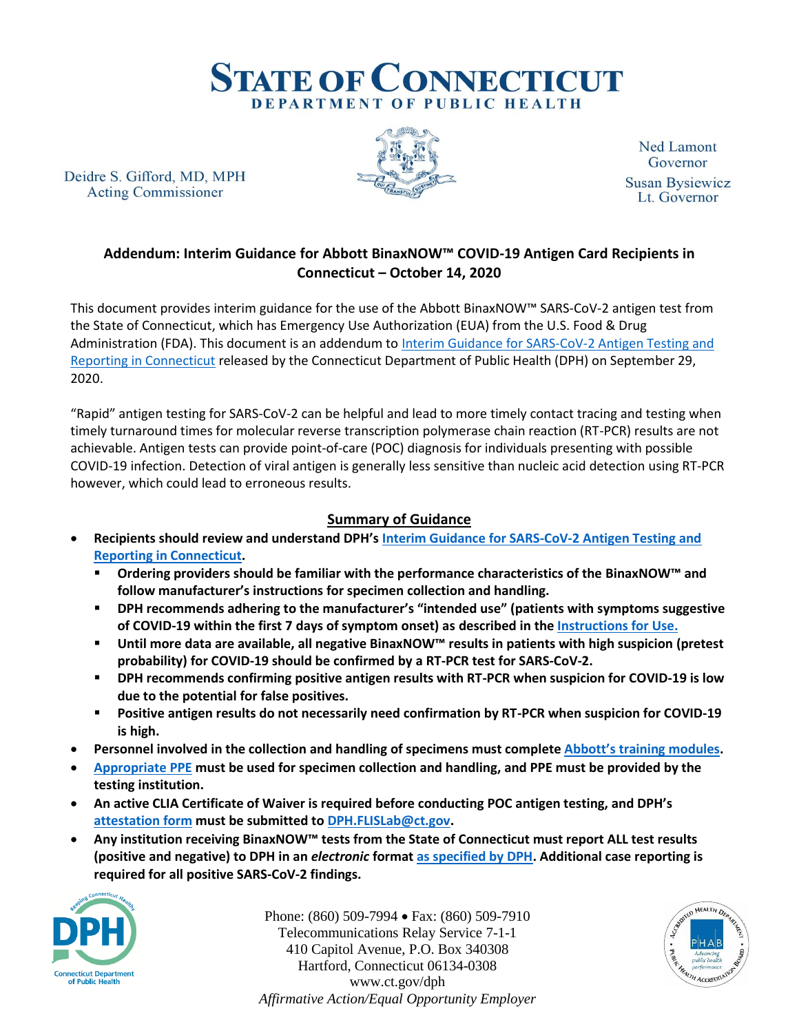

Deidre S. Gifford, MD, MPH **Acting Commissioner** 



**Ned Lamont** Governor **Susan Bysiewicz** Lt. Governor

# **Addendum: Interim Guidance for Abbott BinaxNOW™ COVID-19 Antigen Card Recipients in Connecticut – October 14, 2020**

This document provides interim guidance for the use of the Abbott BinaxNOW™ SARS-CoV-2 antigen test from the State of Connecticut, which has Emergency Use Authorization (EUA) from the U.S. Food & Drug Administration (FDA). This document is an addendum to Interim Guidance for SARS-CoV-2 Antigen Testing and [Reporting in Connecticut](https://portal.ct.gov/-/media/DPH/HAI/COVID19-Ag-Testing-and-Reporting-Guidance_090292020.pdf) released by the Connecticut Department of Public Health (DPH) on September 29, 2020.

"Rapid" antigen testing for SARS-CoV-2 can be helpful and lead to more timely contact tracing and testing when timely turnaround times for molecular reverse transcription polymerase chain reaction (RT-PCR) results are not achievable. Antigen tests can provide point-of-care (POC) diagnosis for individuals presenting with possible COVID-19 infection. Detection of viral antigen is generally less sensitive than nucleic acid detection using RT-PCR however, which could lead to erroneous results.

## **Summary of Guidance**

- **Recipients should review and understand DPH's [Interim Guidance for SARS-CoV-2 Antigen Testing and](https://portal.ct.gov/-/media/DPH/HAI/COVID19-Ag-Testing-and-Reporting-Guidance_090292020.pdf)  [Reporting in Connecticut.](https://portal.ct.gov/-/media/DPH/HAI/COVID19-Ag-Testing-and-Reporting-Guidance_090292020.pdf)**
	- **Ordering providers should be familiar with the performance characteristics of the BinaxNOW™ and follow manufacturer's instructions for specimen collection and handling.**
	- **DPH recommends adhering to the manufacturer's "intended use" (patients with symptoms suggestive of COVID-19 within the first 7 days of symptom onset) as described in the [Instructions for Use.](https://www.fda.gov/media/141570/download)**
	- **Until more data are available, all negative BinaxNOW™ results in patients with high suspicion (pretest probability) for COVID-19 should be confirmed by a RT-PCR test for SARS-CoV-2.**
	- **DPH recommends confirming positive antigen results with RT-PCR when suspicion for COVID-19 is low due to the potential for false positives.**
	- **Positive antigen results do not necessarily need confirmation by RT-PCR when suspicion for COVID-19 is high.**
- **Personnel involved in the collection and handling of specimens must complete [Abbott's training modules](https://www.globalpointofcare.abbott/en/support/product-installation-training/navica-brand/navica-binaxnow-ag-training.html).**
- **[Appropriate PPE](https://www.cdc.gov/coronavirus/2019-ncov/downloads/OASH-nasal-specimen-collection-fact-sheet.pdf) must be used for specimen collection and handling, and PPE must be provided by the testing institution.**
- **An active CLIA Certificate of Waiver is required before conducting POC antigen testing, and DPH's [attestation form](https://portal.ct.gov/DPH/Facility-Licensing--Investigations/Facility-Licensing--Investigations-Section-FLIS/State-of-CT-FDA-Emergency-Use-of-Authorization-EUA-Attestation-Form) must be submitted to [DPH.FLISLab@ct.gov.](mailto:DPH.FLISLab@ct.gov)**
- **Any institution receiving BinaxNOW™ tests from the State of Connecticut must report ALL test results (positive and negative) to DPH in an** *electronic* **format [as specified by DPH.](https://portal.ct.gov/-/media/DPH/HAI/COVID19-Test-Reporting_092020V11.pdf) Additional case reporting is required for all positive SARS-CoV-2 findings.**



Phone: (860) 509-7994 Fax: (860) 509-7910 Telecommunications Relay Service 7-1-1 410 Capitol Avenue, P.O. Box 340308 Hartford, Connecticut 06134-0308 www.ct.gov/dph *Affirmative Action/Equal Opportunity Employer*

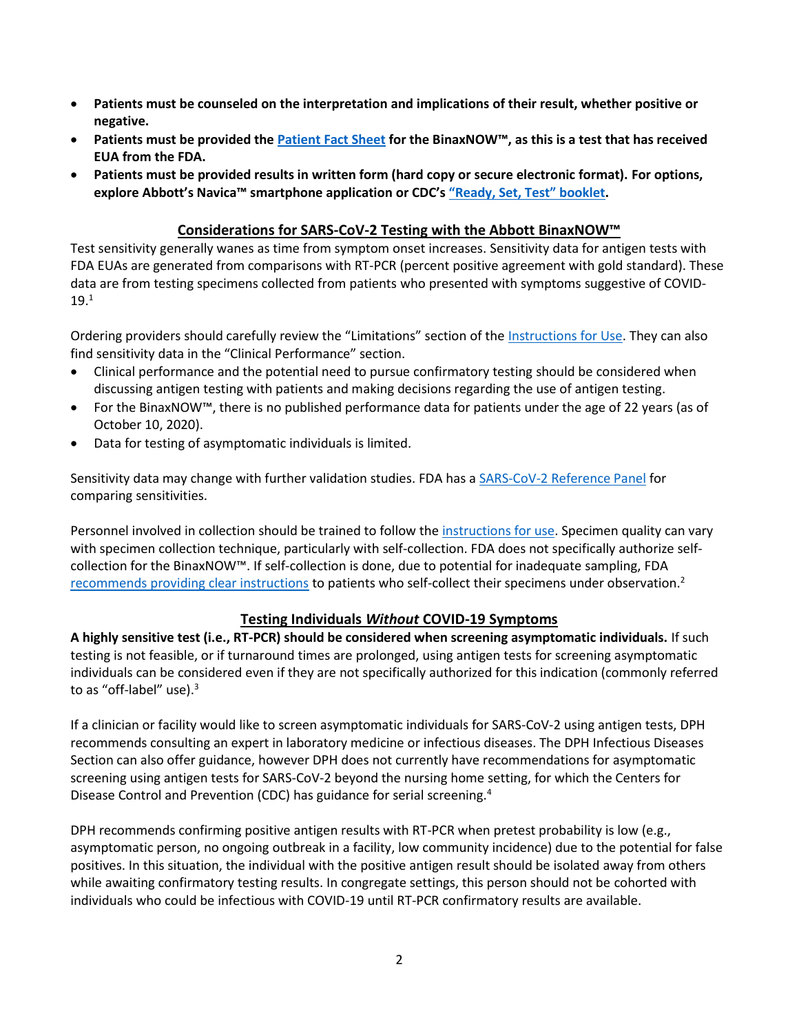- **Patients must be counseled on the interpretation and implications of their result, whether positive or negative.**
- **Patients must be provided th[e Patient Fact Sheet](https://www.fda.gov/media/141569/download) for the BinaxNOW™, as this is a test that has received EUA from the FDA.**
- **Patients must be provided results in written form (hard copy or secure electronic format). For options, explore Abbott's Navica™ smartphone application or CDC's ["Ready, Set, Test"](https://www.cdc.gov/clia/docs/waived-tests/ready-set-test-booklet.pdf) booklet.**

#### **Considerations for SARS-CoV-2 Testing with the Abbott BinaxNOW™**

Test sensitivity generally wanes as time from symptom onset increases. Sensitivity data for antigen tests with FDA EUAs are generated from comparisons with RT-PCR (percent positive agreement with gold standard). These data are from testing specimens collected from patients who presented with symptoms suggestive of COVID-19.<sup>1</sup>

Ordering providers should carefully review the "Limitations" section of the [Instructions for Use.](https://www.fda.gov/media/141570/download) They can also find sensitivity data in the "Clinical Performance" section.

- Clinical performance and the potential need to pursue confirmatory testing should be considered when discussing antigen testing with patients and making decisions regarding the use of antigen testing.
- For the BinaxNOW™, there is no published performance data for patients under the age of 22 years (as of October 10, 2020).
- Data for testing of asymptomatic individuals is limited.

Sensitivity data may change with further validation studies. FDA has a [SARS-CoV-2 Reference Panel](https://www.fda.gov/medical-devices/coronavirus-covid-19-and-medical-devices/sars-cov-2-reference-panel-comparative-data) for comparing sensitivities.

Personnel involved in collection should be trained to follow the [instructions for use.](https://www.fda.gov/media/141570/download) Specimen quality can vary with specimen collection technique, particularly with self-collection. FDA does not specifically authorize selfcollection for the BinaxNOW™. If self-collection is done, due to potential for inadequate sampling, FDA [recommends providing clear instructions](https://www.fda.gov/medical-devices/letters-health-care-providers/recommendations-providing-clear-instructions-patients-who-self-collect-anterior-nares-nasal-sample) to patients who self-collect their specimens under observation.<sup>2</sup>

## **Testing Individuals** *Without* **COVID-19 Symptoms**

**A highly sensitive test (i.e., RT-PCR) should be considered when screening asymptomatic individuals.** If such testing is not feasible, or if turnaround times are prolonged, using antigen tests for screening asymptomatic individuals can be considered even if they are not specifically authorized for this indication (commonly referred to as "off-label" use).<sup>3</sup>

If a clinician or facility would like to screen asymptomatic individuals for SARS-CoV-2 using antigen tests, DPH recommends consulting an expert in laboratory medicine or infectious diseases. The DPH Infectious Diseases Section can also offer guidance, however DPH does not currently have recommendations for asymptomatic screening using antigen tests for SARS-CoV-2 beyond the nursing home setting, for which the Centers for Disease Control and Prevention (CDC) has guidance for serial screening.<sup>4</sup>

DPH recommends confirming positive antigen results with RT-PCR when pretest probability is low (e.g., asymptomatic person, no ongoing outbreak in a facility, low community incidence) due to the potential for false positives. In this situation, the individual with the positive antigen result should be isolated away from others while awaiting confirmatory testing results. In congregate settings, this person should not be cohorted with individuals who could be infectious with COVID-19 until RT-PCR confirmatory results are available.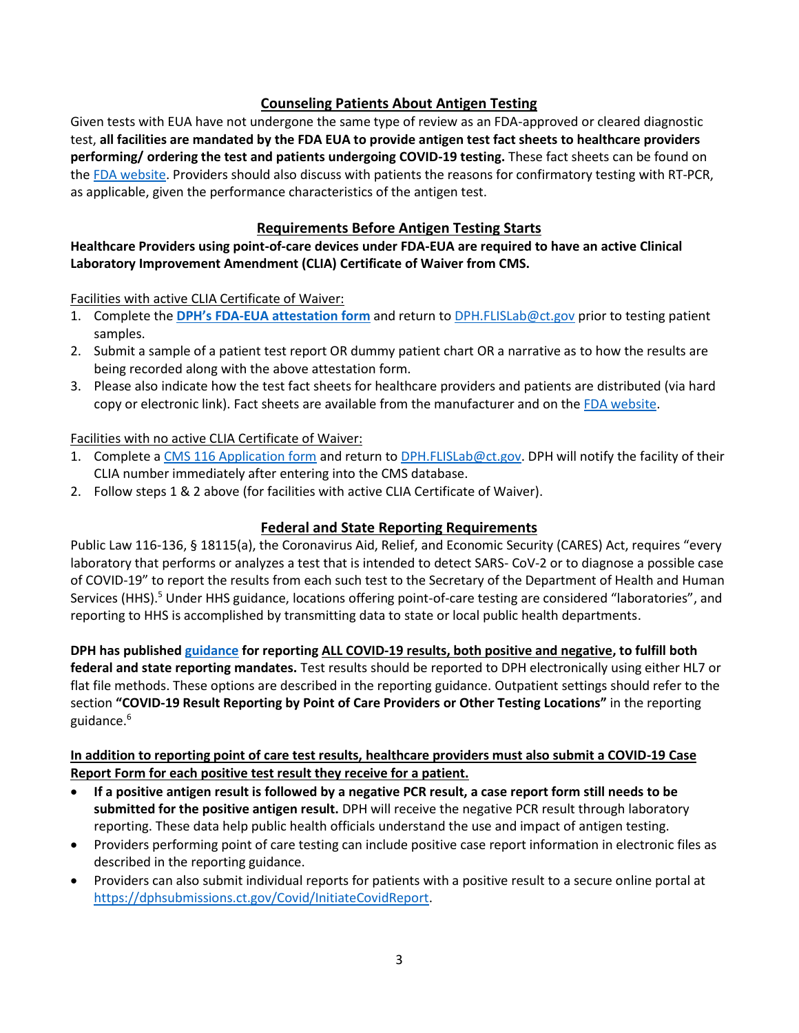## **Counseling Patients About Antigen Testing**

Given tests with EUA have not undergone the same type of review as an FDA-approved or cleared diagnostic test, **all facilities are mandated by the FDA EUA to provide antigen test fact sheets to healthcare providers performing/ ordering the test and patients undergoing COVID-19 testing.** These fact sheets can be found on the [FDA website.](https://www.fda.gov/medical-devices/coronavirus-disease-2019-covid-19-emergency-use-authorizations-medical-devices/vitro-diagnostics-euas#individual-antigen) Providers should also discuss with patients the reasons for confirmatory testing with RT-PCR, as applicable, given the performance characteristics of the antigen test.

## **Requirements Before Antigen Testing Starts**

## **Healthcare Providers using point-of-care devices under FDA-EUA are required to have an active Clinical Laboratory Improvement Amendment (CLIA) Certificate of Waiver from CMS.**

Facilities with active CLIA Certificate of Waiver:

- 1. Complete the **DPH's FDA-EUA [attestation form](https://portal.ct.gov/DPH/Facility-Licensing--Investigations/Facility-Licensing--Investigations-Section-FLIS/State-of-CT-FDA-Emergency-Use-of-Authorization-EUA-Attestation-Form)** and return t[o DPH.FLISLab@ct.gov](mailto:DPH.FLISLab@ct.gov) prior to testing patient samples.
- 2. Submit a sample of a patient test report OR dummy patient chart OR a narrative as to how the results are being recorded along with the above attestation form.
- 3. Please also indicate how the test fact sheets for healthcare providers and patients are distributed (via hard copy or electronic link). Fact sheets are available from the manufacturer and on th[e FDA website.](https://www.fda.gov/medical-devices/coronavirus-disease-2019-covid-19-emergency-use-authorizations-medical-devices/vitro-diagnostics-euas#individual-antigen)

#### Facilities with no active CLIA Certificate of Waiver:

- 1. Complete [a CMS 116 Application form](https://www.cms.gov/Medicare/CMS-Forms/CMS-Forms/Downloads/CMS116.pdf) and return to [DPH.FLISLab@ct.gov.](mailto:DPH.FLISLab@ct.gov) DPH will notify the facility of their CLIA number immediately after entering into the CMS database.
- 2. Follow steps 1 & 2 above (for facilities with active CLIA Certificate of Waiver).

## **Federal and State Reporting Requirements**

Public Law 116-136, § 18115(a), the Coronavirus Aid, Relief, and Economic Security (CARES) Act, requires "every laboratory that performs or analyzes a test that is intended to detect SARS- CoV-2 or to diagnose a possible case of COVID-19" to report the results from each such test to the Secretary of the Department of Health and Human Services (HHS).<sup>5</sup> Under HHS guidance, locations offering point-of-care testing are considered "laboratories", and reporting to HHS is accomplished by transmitting data to state or local public health departments.

**DPH has published [guidance](https://portal.ct.gov/-/media/DPH/HAI/COVID19-Test-Reporting_092020V11.pdf) for reporting ALL COVID-19 results, both positive and negative, to fulfill both federal and state reporting mandates.** Test results should be reported to DPH electronically using either HL7 or flat file methods. These options are described in the reporting guidance. Outpatient settings should refer to the section **"COVID-19 Result Reporting by Point of Care Providers or Other Testing Locations"** in the reporting guidance. 6

## **In addition to reporting point of care test results, healthcare providers must also submit a COVID-19 Case Report Form for each positive test result they receive for a patient.**

- **If a positive antigen result is followed by a negative PCR result, a case report form still needs to be submitted for the positive antigen result.** DPH will receive the negative PCR result through laboratory reporting. These data help public health officials understand the use and impact of antigen testing.
- Providers performing point of care testing can include positive case report information in electronic files as described in the reporting guidance.
- Providers can also submit individual reports for patients with a positive result to a secure online portal at [https://dphsubmissions.ct.gov/Covid/InitiateCovidReport.](https://dphsubmissions.ct.gov/Covid/InitiateCovidReport)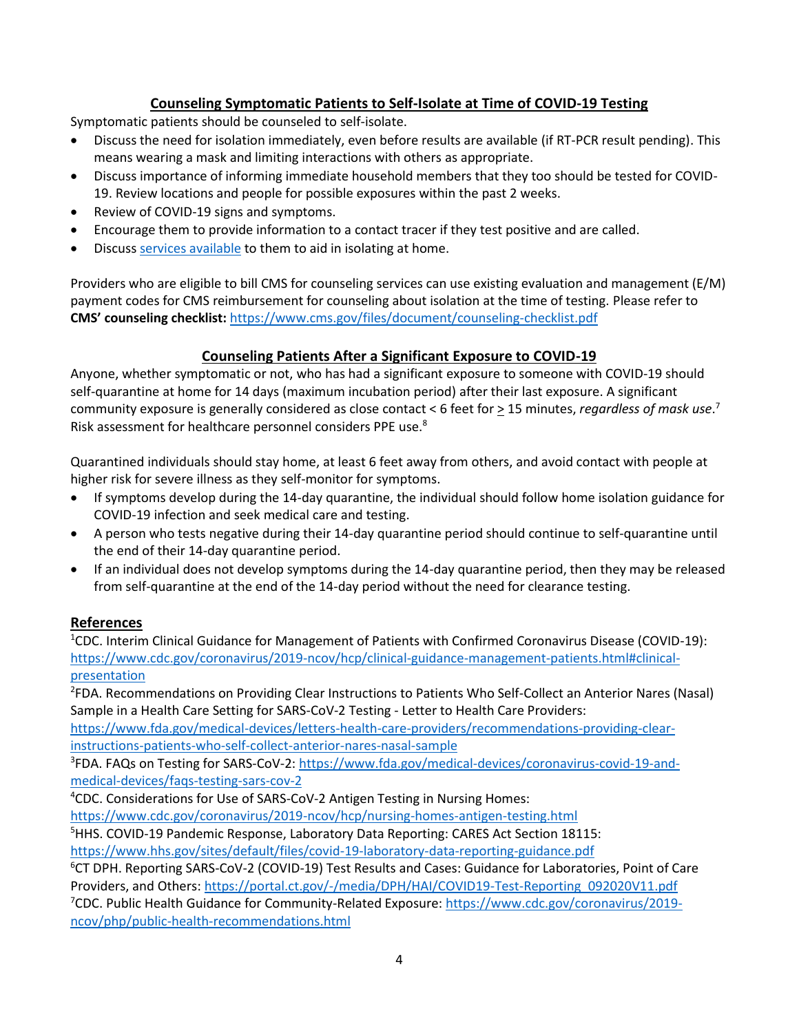# **Counseling Symptomatic Patients to Self-Isolate at Time of COVID-19 Testing**

Symptomatic patients should be counseled to self-isolate.

- Discuss the need for isolation immediately, even before results are available (if RT-PCR result pending). This means wearing a mask and limiting interactions with others as appropriate.
- Discuss importance of informing immediate household members that they too should be tested for COVID-19. Review locations and people for possible exposures within the past 2 weeks.
- Review of COVID-19 signs and symptoms.
- Encourage them to provide information to a contact tracer if they test positive and are called.
- Discuss [services available](https://uwc.211ct.org/covid19resources/) to them to aid in isolating at home.

Providers who are eligible to bill CMS for counseling services can use existing evaluation and management (E/M) payment codes for CMS reimbursement for counseling about isolation at the time of testing. Please refer to **CMS' counseling checklist:** <https://www.cms.gov/files/document/counseling-checklist.pdf>

## **Counseling Patients After a Significant Exposure to COVID-19**

Anyone, whether symptomatic or not, who has had a significant exposure to someone with COVID-19 should self-quarantine at home for 14 days (maximum incubation period) after their last exposure. A significant community exposure is generally considered as close contact < 6 feet for  $\geq$  15 minutes, *regardless of mask use*.<sup>7</sup> Risk assessment for healthcare personnel considers PPE use.<sup>8</sup>

Quarantined individuals should stay home, at least 6 feet away from others, and avoid contact with people at higher risk for severe illness as they self-monitor for symptoms.

- If symptoms develop during the 14-day quarantine, the individual should follow home isolation guidance for COVID-19 infection and seek medical care and testing.
- A person who tests negative during their 14-day quarantine period should continue to self-quarantine until the end of their 14-day quarantine period.
- If an individual does not develop symptoms during the 14-day quarantine period, then they may be released from self-quarantine at the end of the 14-day period without the need for clearance testing.

## **References**

<sup>1</sup>CDC. Interim Clinical Guidance for Management of Patients with Confirmed Coronavirus Disease (COVID-19): [https://www.cdc.gov/coronavirus/2019-ncov/hcp/clinical-guidance-management-patients.html#clinical](https://www.cdc.gov/coronavirus/2019-ncov/hcp/clinical-guidance-management-patients.html#clinical-presentation)[presentation](https://www.cdc.gov/coronavirus/2019-ncov/hcp/clinical-guidance-management-patients.html#clinical-presentation)

2 FDA. Recommendations on Providing Clear Instructions to Patients Who Self-Collect an Anterior Nares (Nasal) Sample in a Health Care Setting for SARS-CoV-2 Testing - Letter to Health Care Providers:

[https://www.fda.gov/medical-devices/letters-health-care-providers/recommendations-providing-clear](https://www.fda.gov/medical-devices/letters-health-care-providers/recommendations-providing-clear-instructions-patients-who-self-collect-anterior-nares-nasal-sample)[instructions-patients-who-self-collect-anterior-nares-nasal-sample](https://www.fda.gov/medical-devices/letters-health-care-providers/recommendations-providing-clear-instructions-patients-who-self-collect-anterior-nares-nasal-sample)

<sup>3</sup>FDA. FAQs on Testing for SARS-CoV-2: [https://www.fda.gov/medical-devices/coronavirus-covid-19-and](https://www.fda.gov/medical-devices/coronavirus-covid-19-and-medical-devices/faqs-testing-sars-cov-2)[medical-devices/faqs-testing-sars-cov-2](https://www.fda.gov/medical-devices/coronavirus-covid-19-and-medical-devices/faqs-testing-sars-cov-2)

<sup>4</sup>CDC. Considerations for Use of SARS-CoV-2 Antigen Testing in Nursing Homes:

<https://www.cdc.gov/coronavirus/2019-ncov/hcp/nursing-homes-antigen-testing.html>

<sup>5</sup>HHS. COVID-19 Pandemic Response, Laboratory Data Reporting: CARES Act Section 18115: <https://www.hhs.gov/sites/default/files/covid-19-laboratory-data-reporting-guidance.pdf>

<sup>6</sup>CT DPH. Reporting SARS-CoV-2 (COVID-19) Test Results and Cases: Guidance for Laboratories, Point of Care Providers, and Others[: https://portal.ct.gov/-/media/DPH/HAI/COVID19-Test-Reporting\\_092020V11.pdf](https://portal.ct.gov/-/media/DPH/HAI/COVID19-Test-Reporting_092020V11.pdf) <sup>7</sup>CDC. Public Health Guidance for Community-Related Exposure[: https://www.cdc.gov/coronavirus/2019](https://www.cdc.gov/coronavirus/2019-ncov/php/public-health-recommendations.html) [ncov/php/public-health-recommendations.html](https://www.cdc.gov/coronavirus/2019-ncov/php/public-health-recommendations.html)